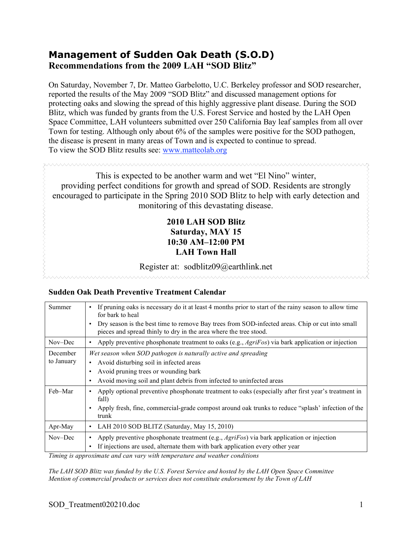# **Management of Sudden Oak Death (S.O.D) Recommendations from the 2009 LAH "SOD Blitz"**

On Saturday, November 7, Dr. Matteo Garbelotto, U.C. Berkeley professor and SOD researcher, reported the results of the May 2009 "SOD Blitz" and discussed management options for protecting oaks and slowing the spread of this highly aggressive plant disease. During the SOD Blitz, which was funded by grants from the U.S. Forest Service and hosted by the LAH Open Space Committee, LAH volunteers submitted over 250 California Bay leaf samples from all over Town for testing. Although only about 6% of the samples were positive for the SOD pathogen, the disease is present in many areas of Town and is expected to continue to spread. To view the SOD Blitz results see: www.matteolab.org

This is expected to be another warm and wet "El Nino" winter, providing perfect conditions for growth and spread of SOD. Residents are strongly encouraged to participate in the Spring 2010 SOD Blitz to help with early detection and monitoring of this devastating disease.

# **2010 LAH SOD Blitz Saturday, MAY 15 10:30 AM–12:00 PM LAH Town Hall**

## Register at: sodblitz09@earthlink.net

www.www.www.www.ww

## **Sudden Oak Death Preventive Treatment Calendar**

**SYYYYYYYYYYYYYYYYYYYY** 

| Summer     | If pruning oaks is necessary do it at least 4 months prior to start of the rainy season to allow time<br>$\bullet$<br>for bark to heal                                            |
|------------|-----------------------------------------------------------------------------------------------------------------------------------------------------------------------------------|
|            | Dry season is the best time to remove Bay trees from SOD-infected areas. Chip or cut into small<br>$\bullet$<br>pieces and spread thinly to dry in the area where the tree stood. |
| Nov-Dec    | Apply preventive phosphonate treatment to oaks (e.g., $Agrif\cos$ ) via bark application or injection<br>٠                                                                        |
| December   | Wet season when SOD pathogen is naturally active and spreading                                                                                                                    |
| to January | Avoid disturbing soil in infected areas<br>٠                                                                                                                                      |
|            | Avoid pruning trees or wounding bark<br>٠                                                                                                                                         |
|            | Avoid moving soil and plant debris from infected to uninfected areas<br>٠                                                                                                         |
| Feb-Mar    | Apply optional preventive phosphonate treatment to oaks (especially after first year's treatment in<br>fall)                                                                      |
|            | Apply fresh, fine, commercial-grade compost around oak trunks to reduce "splash' infection of the<br>$\bullet$<br>trunk                                                           |
| Apr-May    | LAH 2010 SOD BLITZ (Saturday, May 15, 2010)<br>$\bullet$                                                                                                                          |
| Nov-Dec    | Apply preventive phosphonate treatment (e.g., $Agrifos$ ) via bark application or injection<br>$\bullet$                                                                          |
|            | If injections are used, alternate them with bark application every other year<br>٠                                                                                                |

*Timing is approximate and can vary with temperature and weather conditions*

*The LAH SOD Blitz was funded by the U.S. Forest Service and hosted by the LAH Open Space Committee Mention of commercial products or services does not constitute endorsement by the Town of LAH*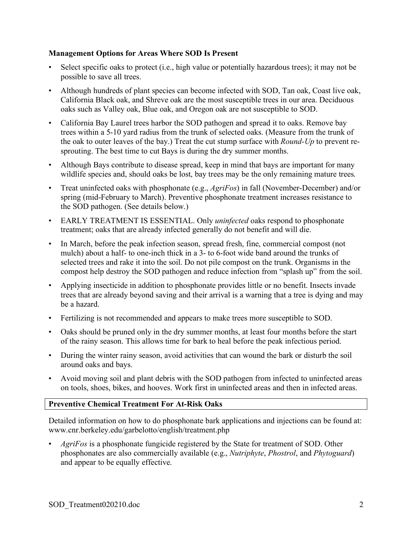## **Management Options for Areas Where SOD Is Present**

- Select specific oaks to protect (i.e., high value or potentially hazardous trees); it may not be possible to save all trees.
- Although hundreds of plant species can become infected with SOD, Tan oak, Coast live oak, California Black oak, and Shreve oak are the most susceptible trees in our area. Deciduous oaks such as Valley oak, Blue oak, and Oregon oak are not susceptible to SOD.
- California Bay Laurel trees harbor the SOD pathogen and spread it to oaks. Remove bay trees within a 5-10 yard radius from the trunk of selected oaks. (Measure from the trunk of the oak to outer leaves of the bay.) Treat the cut stump surface with *Round-Up* to prevent resprouting. The best time to cut Bays is during the dry summer months.
- Although Bays contribute to disease spread, keep in mind that bays are important for many wildlife species and, should oaks be lost, bay trees may be the only remaining mature trees.
- Treat uninfected oaks with phosphonate (e.g., *AgriFos*) in fall (November-December) and/or spring (mid-February to March). Preventive phosphonate treatment increases resistance to the SOD pathogen. (See details below.)
- EARLY TREATMENT IS ESSENTIAL. Only *uninfected* oaks respond to phosphonate treatment; oaks that are already infected generally do not benefit and will die.
- In March, before the peak infection season, spread fresh, fine, commercial compost (not mulch) about a half- to one-inch thick in a 3- to 6-foot wide band around the trunks of selected trees and rake it into the soil. Do not pile compost on the trunk. Organisms in the compost help destroy the SOD pathogen and reduce infection from "splash up" from the soil.
- Applying insecticide in addition to phosphonate provides little or no benefit. Insects invade trees that are already beyond saving and their arrival is a warning that a tree is dying and may be a hazard.
- Fertilizing is not recommended and appears to make trees more susceptible to SOD.
- Oaks should be pruned only in the dry summer months, at least four months before the start of the rainy season. This allows time for bark to heal before the peak infectious period.
- During the winter rainy season, avoid activities that can wound the bark or disturb the soil around oaks and bays.
- Avoid moving soil and plant debris with the SOD pathogen from infected to uninfected areas on tools, shoes, bikes, and hooves. Work first in uninfected areas and then in infected areas.

## **Preventive Chemical Treatment For At-Risk Oaks**

Detailed information on how to do phosphonate bark applications and injections can be found at: www.cnr.berkeley.edu/garbelotto/english/treatment.php

• *AgriFos* is a phosphonate fungicide registered by the State for treatment of SOD. Other phosphonates are also commercially available (e.g., *Nutriphyte*, *Phostrol*, and *Phytoguard*) and appear to be equally effective.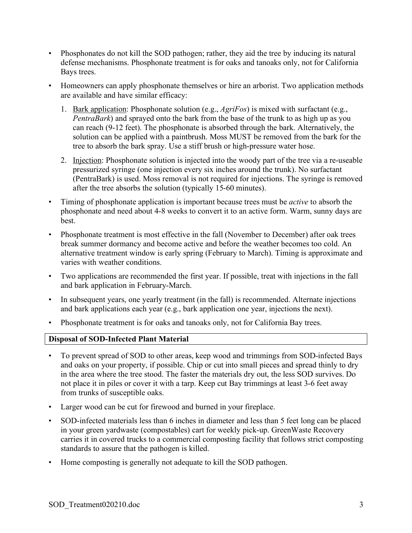- Phosphonates do not kill the SOD pathogen; rather, they aid the tree by inducing its natural defense mechanisms. Phosphonate treatment is for oaks and tanoaks only, not for California Bays trees.
- Homeowners can apply phosphonate themselves or hire an arborist. Two application methods are available and have similar efficacy:
	- 1. Bark application: Phosphonate solution (e.g., *AgriFos*) is mixed with surfactant (e.g., *PentraBark*) and sprayed onto the bark from the base of the trunk to as high up as you can reach (9-12 feet). The phosphonate is absorbed through the bark. Alternatively, the solution can be applied with a paintbrush. Moss MUST be removed from the bark for the tree to absorb the bark spray. Use a stiff brush or high-pressure water hose.
	- 2. Injection: Phosphonate solution is injected into the woody part of the tree via a re-useable pressurized syringe (one injection every six inches around the trunk). No surfactant (PentraBark) is used. Moss removal is not required for injections. The syringe is removed after the tree absorbs the solution (typically 15-60 minutes).
- Timing of phosphonate application is important because trees must be *active* to absorb the phosphonate and need about 4-8 weeks to convert it to an active form. Warm, sunny days are best.
- Phosphonate treatment is most effective in the fall (November to December) after oak trees break summer dormancy and become active and before the weather becomes too cold. An alternative treatment window is early spring (February to March). Timing is approximate and varies with weather conditions.
- Two applications are recommended the first year. If possible, treat with injections in the fall and bark application in February-March.
- In subsequent years, one yearly treatment (in the fall) is recommended. Alternate injections and bark applications each year (e.g., bark application one year, injections the next).
- Phosphonate treatment is for oaks and tanoaks only, not for California Bay trees.

## **Disposal of SOD-Infected Plant Material**

- To prevent spread of SOD to other areas, keep wood and trimmings from SOD-infected Bays and oaks on your property, if possible. Chip or cut into small pieces and spread thinly to dry in the area where the tree stood. The faster the materials dry out, the less SOD survives. Do not place it in piles or cover it with a tarp. Keep cut Bay trimmings at least 3-6 feet away from trunks of susceptible oaks.
- Larger wood can be cut for firewood and burned in your fireplace.
- SOD-infected materials less than 6 inches in diameter and less than 5 feet long can be placed in your green yardwaste (compostables) cart for weekly pick-up. GreenWaste Recovery carries it in covered trucks to a commercial composting facility that follows strict composting standards to assure that the pathogen is killed.
- Home composting is generally not adequate to kill the SOD pathogen.